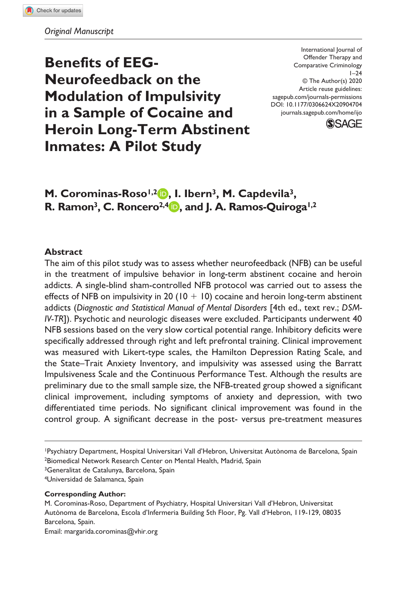**Benefits of EEG-Neurofeedback on the Modulation of Impulsivity in a Sample of Cocaine and Heroin Long-Term Abstinent Inmates: A Pilot Study**

DOI: 10.1177/0306624X20904704 International Journal of Offender Therapy and Comparative Criminology  $1 - 24$ © The Author(s) 2020 Article reuse guidelines: [sagepub.com/journals-permissions](https://us.sagepub.com/en-us/journals-permissions) [journals.sagepub.com/home/ijo](https://journals.sagepub.com/home/ijo)



# M. Corominas-Roso<sup>1,2</sup> **D.** I. Ibern<sup>3</sup>, M. Capdevila<sup>3</sup>, **R. Ramon3, C. Roncero2,4 , and J. A. Ramos-Quiroga1,2**

### **Abstract**

The aim of this pilot study was to assess whether neurofeedback (NFB) can be useful in the treatment of impulsive behavior in long-term abstinent cocaine and heroin addicts. A single-blind sham-controlled NFB protocol was carried out to assess the effects of NFB on impulsivity in 20 ( $10 + 10$ ) cocaine and heroin long-term abstinent addicts (*Diagnostic and Statistical Manual of Mental Disorders* [4th ed., text rev.; *DSM-IV-TR*]). Psychotic and neurologic diseases were excluded. Participants underwent 40 NFB sessions based on the very slow cortical potential range. Inhibitory deficits were specifically addressed through right and left prefrontal training. Clinical improvement was measured with Likert-type scales, the Hamilton Depression Rating Scale, and the State–Trait Anxiety Inventory, and impulsivity was assessed using the Barratt Impulsiveness Scale and the Continuous Performance Test. Although the results are preliminary due to the small sample size, the NFB-treated group showed a significant clinical improvement, including symptoms of anxiety and depression, with two differentiated time periods. No significant clinical improvement was found in the control group. A significant decrease in the post- versus pre-treatment measures

1Psychiatry Department, Hospital Universitari Vall d'Hebron, Universitat Autònoma de Barcelona, Spain 2Biomedical Network Research Center on Mental Health, Madrid, Spain

<sup>3</sup>Generalitat de Catalunya, Barcelona, Spain

4Universidad de Salamanca, Spain

**Corresponding Author:**

M. Corominas-Roso, Department of Psychiatry, Hospital Universitari Vall d'Hebron, Universitat Autònoma de Barcelona, Escola d'Infermeria Building 5th Floor, Pg. Vall d'Hebron, 119-129, 08035 Barcelona, Spain.

Email: [margarida.corominas@vhir.org](mailto:margarida.corominas@vhir.org)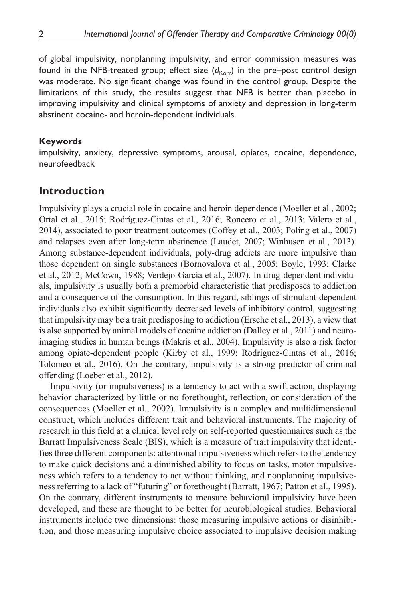of global impulsivity, nonplanning impulsivity, and error commission measures was found in the NFB-treated group; effect size  $(d_{\text{Korr}})$  in the pre-post control design was moderate. No significant change was found in the control group. Despite the limitations of this study, the results suggest that NFB is better than placebo in improving impulsivity and clinical symptoms of anxiety and depression in long-term abstinent cocaine- and heroin-dependent individuals.

#### **Keywords**

impulsivity, anxiety, depressive symptoms, arousal, opiates, cocaine, dependence, neurofeedback

## **Introduction**

Impulsivity plays a crucial role in cocaine and heroin dependence (Moeller et al., 2002; Ortal et al., 2015; Rodríguez-Cintas et al., 2016; Roncero et al., 2013; Valero et al., 2014), associated to poor treatment outcomes (Coffey et al., 2003; Poling et al., 2007) and relapses even after long-term abstinence (Laudet, 2007; Winhusen et al., 2013). Among substance-dependent individuals, poly-drug addicts are more impulsive than those dependent on single substances (Bornovalova et al., 2005; Boyle, 1993; Clarke et al., 2012; McCown, 1988; Verdejo-García et al., 2007). In drug-dependent individuals, impulsivity is usually both a premorbid characteristic that predisposes to addiction and a consequence of the consumption. In this regard, siblings of stimulant-dependent individuals also exhibit significantly decreased levels of inhibitory control, suggesting that impulsivity may be a trait predisposing to addiction (Ersche et al., 2013), a view that is also supported by animal models of cocaine addiction (Dalley et al., 2011) and neuroimaging studies in human beings (Makris et al., 2004). Impulsivity is also a risk factor among opiate-dependent people (Kirby et al., 1999; Rodríguez-Cintas et al., 2016; Tolomeo et al., 2016). On the contrary, impulsivity is a strong predictor of criminal offending (Loeber et al., 2012).

Impulsivity (or impulsiveness) is a tendency to act with a swift action, displaying behavior characterized by little or no forethought, reflection, or consideration of the consequences (Moeller et al., 2002). Impulsivity is a complex and multidimensional construct, which includes different trait and behavioral instruments. The majority of research in this field at a clinical level rely on self-reported questionnaires such as the Barratt Impulsiveness Scale (BIS), which is a measure of trait impulsivity that identifies three different components: attentional impulsiveness which refers to the tendency to make quick decisions and a diminished ability to focus on tasks, motor impulsiveness which refers to a tendency to act without thinking, and nonplanning impulsiveness referring to a lack of "futuring" or forethought (Barratt, 1967; Patton et al., 1995). On the contrary, different instruments to measure behavioral impulsivity have been developed, and these are thought to be better for neurobiological studies. Behavioral instruments include two dimensions: those measuring impulsive actions or disinhibition, and those measuring impulsive choice associated to impulsive decision making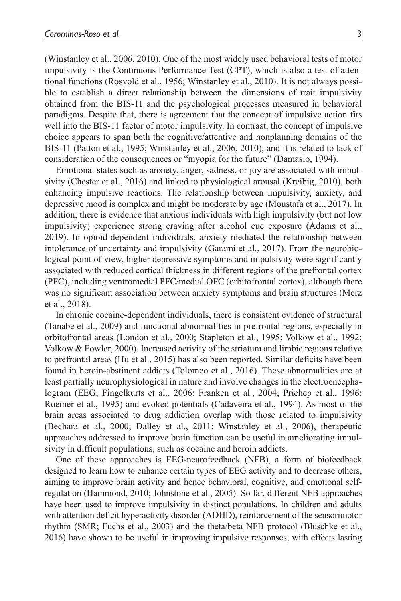(Winstanley et al., 2006, 2010). One of the most widely used behavioral tests of motor impulsivity is the Continuous Performance Test (CPT), which is also a test of attentional functions (Rosvold et al., 1956; Winstanley et al., 2010). It is not always possible to establish a direct relationship between the dimensions of trait impulsivity obtained from the BIS-11 and the psychological processes measured in behavioral paradigms. Despite that, there is agreement that the concept of impulsive action fits well into the BIS-11 factor of motor impulsivity. In contrast, the concept of impulsive choice appears to span both the cognitive/attentive and nonplanning domains of the BIS-11 (Patton et al., 1995; Winstanley et al., 2006, 2010), and it is related to lack of consideration of the consequences or "myopia for the future" (Damasio, 1994).

Emotional states such as anxiety, anger, sadness, or joy are associated with impulsivity (Chester et al., 2016) and linked to physiological arousal (Kreibig, 2010), both enhancing impulsive reactions. The relationship between impulsivity, anxiety, and depressive mood is complex and might be moderate by age (Moustafa et al., 2017). In addition, there is evidence that anxious individuals with high impulsivity (but not low impulsivity) experience strong craving after alcohol cue exposure (Adams et al., 2019). In opioid-dependent individuals, anxiety mediated the relationship between intolerance of uncertainty and impulsivity (Garami et al., 2017). From the neurobiological point of view, higher depressive symptoms and impulsivity were significantly associated with reduced cortical thickness in different regions of the prefrontal cortex (PFC), including ventromedial PFC/medial OFC (orbitofrontal cortex), although there was no significant association between anxiety symptoms and brain structures (Merz et al., 2018).

In chronic cocaine-dependent individuals, there is consistent evidence of structural (Tanabe et al., 2009) and functional abnormalities in prefrontal regions, especially in orbitofrontal areas (London et al., 2000; Stapleton et al., 1995; Volkow et al., 1992; Volkow & Fowler, 2000). Increased activity of the striatum and limbic regions relative to prefrontal areas (Hu et al., 2015) has also been reported. Similar deficits have been found in heroin-abstinent addicts (Tolomeo et al., 2016). These abnormalities are at least partially neurophysiological in nature and involve changes in the electroencephalogram (EEG; Fingelkurts et al., 2006; Franken et al., 2004; Prichep et al., 1996; Roemer et al., 1995) and evoked potentials (Cadaveira et al., 1994). As most of the brain areas associated to drug addiction overlap with those related to impulsivity (Bechara et al., 2000; Dalley et al., 2011; Winstanley et al., 2006), therapeutic approaches addressed to improve brain function can be useful in ameliorating impulsivity in difficult populations, such as cocaine and heroin addicts.

One of these approaches is EEG-neurofeedback (NFB), a form of biofeedback designed to learn how to enhance certain types of EEG activity and to decrease others, aiming to improve brain activity and hence behavioral, cognitive, and emotional selfregulation (Hammond, 2010; Johnstone et al., 2005). So far, different NFB approaches have been used to improve impulsivity in distinct populations. In children and adults with attention deficit hyperactivity disorder (ADHD), reinforcement of the sensorimotor rhythm (SMR; Fuchs et al., 2003) and the theta/beta NFB protocol (Bluschke et al., 2016) have shown to be useful in improving impulsive responses, with effects lasting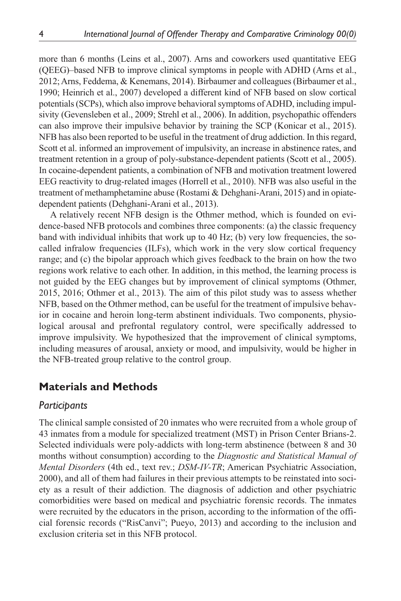more than 6 months (Leins et al., 2007). Arns and coworkers used quantitative EEG (QEEG)–based NFB to improve clinical symptoms in people with ADHD (Arns et al., 2012; Arns, Feddema, & Kenemans, 2014). Birbaumer and colleagues (Birbaumer et al., 1990; Heinrich et al., 2007) developed a different kind of NFB based on slow cortical potentials (SCPs), which also improve behavioral symptoms of ADHD, including impulsivity (Gevensleben et al., 2009; Strehl et al., 2006). In addition, psychopathic offenders can also improve their impulsive behavior by training the SCP (Konicar et al., 2015). NFB has also been reported to be useful in the treatment of drug addiction. In this regard, Scott et al. informed an improvement of impulsivity, an increase in abstinence rates, and treatment retention in a group of poly-substance-dependent patients (Scott et al., 2005). In cocaine-dependent patients, a combination of NFB and motivation treatment lowered EEG reactivity to drug-related images (Horrell et al., 2010). NFB was also useful in the treatment of methamphetamine abuse (Rostami & Dehghani-Arani, 2015) and in opiatedependent patients (Dehghani-Arani et al., 2013).

A relatively recent NFB design is the Othmer method, which is founded on evidence-based NFB protocols and combines three components: (a) the classic frequency band with individual inhibits that work up to 40 Hz; (b) very low frequencies, the socalled infralow frequencies (ILFs), which work in the very slow cortical frequency range; and (c) the bipolar approach which gives feedback to the brain on how the two regions work relative to each other. In addition, in this method, the learning process is not guided by the EEG changes but by improvement of clinical symptoms (Othmer, 2015, 2016; Othmer et al., 2013). The aim of this pilot study was to assess whether NFB, based on the Othmer method, can be useful for the treatment of impulsive behavior in cocaine and heroin long-term abstinent individuals. Two components, physiological arousal and prefrontal regulatory control, were specifically addressed to improve impulsivity. We hypothesized that the improvement of clinical symptoms, including measures of arousal, anxiety or mood, and impulsivity, would be higher in the NFB-treated group relative to the control group.

# **Materials and Methods**

### *Participants*

The clinical sample consisted of 20 inmates who were recruited from a whole group of 43 inmates from a module for specialized treatment (MST) in Prison Center Brians-2. Selected individuals were poly-addicts with long-term abstinence (between 8 and 30 months without consumption) according to the *Diagnostic and Statistical Manual of Mental Disorders* (4th ed., text rev.; *DSM-IV-TR*; American Psychiatric Association, 2000), and all of them had failures in their previous attempts to be reinstated into society as a result of their addiction. The diagnosis of addiction and other psychiatric comorbidities were based on medical and psychiatric forensic records. The inmates were recruited by the educators in the prison, according to the information of the official forensic records ("RisCanvi"; Pueyo, 2013) and according to the inclusion and exclusion criteria set in this NFB protocol.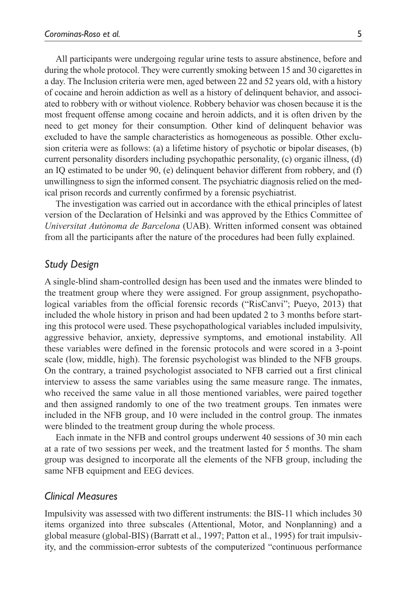All participants were undergoing regular urine tests to assure abstinence, before and during the whole protocol. They were currently smoking between 15 and 30 cigarettes in a day. The Inclusion criteria were men, aged between 22 and 52 years old, with a history of cocaine and heroin addiction as well as a history of delinquent behavior, and associated to robbery with or without violence. Robbery behavior was chosen because it is the most frequent offense among cocaine and heroin addicts, and it is often driven by the need to get money for their consumption. Other kind of delinquent behavior was excluded to have the sample characteristics as homogeneous as possible. Other exclusion criteria were as follows: (a) a lifetime history of psychotic or bipolar diseases, (b) current personality disorders including psychopathic personality, (c) organic illness, (d) an IQ estimated to be under 90, (e) delinquent behavior different from robbery, and (f) unwillingness to sign the informed consent. The psychiatric diagnosis relied on the medical prison records and currently confirmed by a forensic psychiatrist.

The investigation was carried out in accordance with the ethical principles of latest version of the Declaration of Helsinki and was approved by the Ethics Committee of *Universitat Autònoma de Barcelona* (UAB). Written informed consent was obtained from all the participants after the nature of the procedures had been fully explained.

#### *Study Design*

A single-blind sham-controlled design has been used and the inmates were blinded to the treatment group where they were assigned. For group assignment, psychopathological variables from the official forensic records ("RisCanvi"; Pueyo, 2013) that included the whole history in prison and had been updated 2 to 3 months before starting this protocol were used. These psychopathological variables included impulsivity, aggressive behavior, anxiety, depressive symptoms, and emotional instability. All these variables were defined in the forensic protocols and were scored in a 3-point scale (low, middle, high). The forensic psychologist was blinded to the NFB groups. On the contrary, a trained psychologist associated to NFB carried out a first clinical interview to assess the same variables using the same measure range. The inmates, who received the same value in all those mentioned variables, were paired together and then assigned randomly to one of the two treatment groups. Ten inmates were included in the NFB group, and 10 were included in the control group. The inmates were blinded to the treatment group during the whole process.

Each inmate in the NFB and control groups underwent 40 sessions of 30 min each at a rate of two sessions per week, and the treatment lasted for 5 months. The sham group was designed to incorporate all the elements of the NFB group, including the same NFB equipment and EEG devices.

#### *Clinical Measures*

Impulsivity was assessed with two different instruments: the BIS-11 which includes 30 items organized into three subscales (Attentional, Motor, and Nonplanning) and a global measure (global-BIS) (Barratt et al., 1997; Patton et al., 1995) for trait impulsivity, and the commission-error subtests of the computerized "continuous performance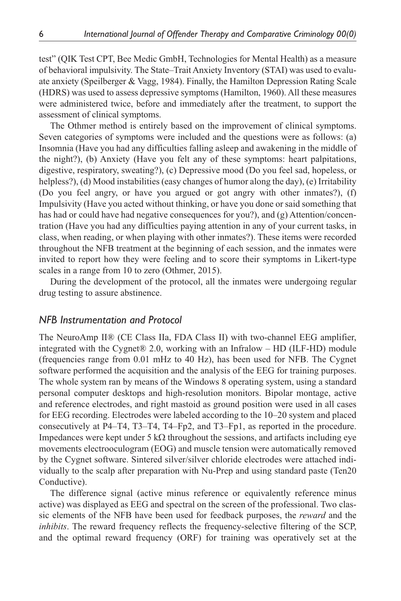test" (QIK Test CPT, Bee Medic GmbH, Technologies for Mental Health) as a measure of behavioral impulsivity. The State–Trait Anxiety Inventory (STAI) was used to evaluate anxiety (Speilberger & Vagg, 1984). Finally, the Hamilton Depression Rating Scale (HDRS) was used to assess depressive symptoms (Hamilton, 1960). All these measures were administered twice, before and immediately after the treatment, to support the assessment of clinical symptoms.

The Othmer method is entirely based on the improvement of clinical symptoms. Seven categories of symptoms were included and the questions were as follows: (a) Insomnia (Have you had any difficulties falling asleep and awakening in the middle of the night?), (b) Anxiety (Have you felt any of these symptoms: heart palpitations, digestive, respiratory, sweating?), (c) Depressive mood (Do you feel sad, hopeless, or helpless?), (d) Mood instabilities (easy changes of humor along the day), (e) Irritability (Do you feel angry, or have you argued or got angry with other inmates?), (f) Impulsivity (Have you acted without thinking, or have you done or said something that has had or could have had negative consequences for you?), and (g) Attention/concentration (Have you had any difficulties paying attention in any of your current tasks, in class, when reading, or when playing with other inmates?). These items were recorded throughout the NFB treatment at the beginning of each session, and the inmates were invited to report how they were feeling and to score their symptoms in Likert-type scales in a range from 10 to zero (Othmer, 2015).

During the development of the protocol, all the inmates were undergoing regular drug testing to assure abstinence.

### *NFB Instrumentation and Protocol*

The NeuroAmp II® (CE Class IIa, FDA Class II) with two-channel EEG amplifier, integrated with the Cygnet® 2.0, working with an Infralow – HD (ILF-HD) module (frequencies range from 0.01 mHz to 40 Hz), has been used for NFB. The Cygnet software performed the acquisition and the analysis of the EEG for training purposes. The whole system ran by means of the Windows 8 operating system, using a standard personal computer desktops and high-resolution monitors. Bipolar montage, active and reference electrodes, and right mastoid as ground position were used in all cases for EEG recording. Electrodes were labeled according to the 10–20 system and placed consecutively at P4–T4, T3–T4, T4–Fp2, and T3–Fp1, as reported in the procedure. Impedances were kept under 5 kΩ throughout the sessions, and artifacts including eye movements electrooculogram (EOG) and muscle tension were automatically removed by the Cygnet software. Sintered silver/silver chloride electrodes were attached individually to the scalp after preparation with Nu-Prep and using standard paste (Ten20 Conductive).

The difference signal (active minus reference or equivalently reference minus active) was displayed as EEG and spectral on the screen of the professional. Two classic elements of the NFB have been used for feedback purposes, the *reward* and the *inhibits*. The reward frequency reflects the frequency-selective filtering of the SCP, and the optimal reward frequency (ORF) for training was operatively set at the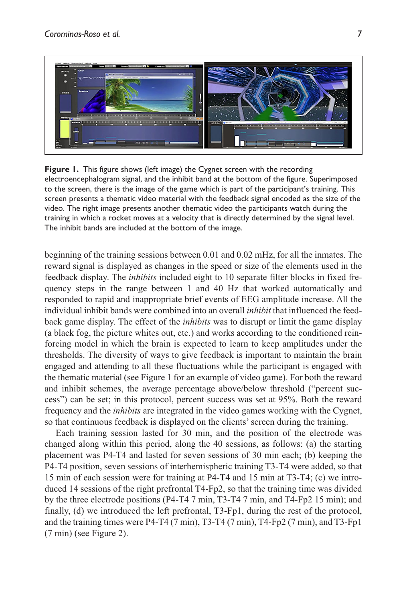

**Figure 1.** This figure shows (left image) the Cygnet screen with the recording electroencephalogram signal, and the inhibit band at the bottom of the figure. Superimposed to the screen, there is the image of the game which is part of the participant's training. This screen presents a thematic video material with the feedback signal encoded as the size of the video. The right image presents another thematic video the participants watch during the training in which a rocket moves at a velocity that is directly determined by the signal level. The inhibit bands are included at the bottom of the image.

beginning of the training sessions between 0.01 and 0.02 mHz, for all the inmates. The reward signal is displayed as changes in the speed or size of the elements used in the feedback display. The *inhibits* included eight to 10 separate filter blocks in fixed frequency steps in the range between 1 and 40 Hz that worked automatically and responded to rapid and inappropriate brief events of EEG amplitude increase. All the individual inhibit bands were combined into an overall *inhibit* that influenced the feedback game display. The effect of the *inhibits* was to disrupt or limit the game display (a black fog, the picture whites out, etc.) and works according to the conditioned reinforcing model in which the brain is expected to learn to keep amplitudes under the thresholds. The diversity of ways to give feedback is important to maintain the brain engaged and attending to all these fluctuations while the participant is engaged with the thematic material (see Figure 1 for an example of video game). For both the reward and inhibit schemes, the average percentage above/below threshold ("percent success") can be set; in this protocol, percent success was set at 95%. Both the reward frequency and the *inhibits* are integrated in the video games working with the Cygnet, so that continuous feedback is displayed on the clients' screen during the training.

Each training session lasted for 30 min, and the position of the electrode was changed along within this period, along the 40 sessions, as follows: (a) the starting placement was P4-T4 and lasted for seven sessions of 30 min each; (b) keeping the P4-T4 position, seven sessions of interhemispheric training T3-T4 were added, so that 15 min of each session were for training at P4-T4 and 15 min at T3-T4; (c) we introduced 14 sessions of the right prefrontal T4-Fp2, so that the training time was divided by the three electrode positions (P4-T4 7 min, T3-T4 7 min, and T4-Fp2 15 min); and finally, (d) we introduced the left prefrontal, T3-Fp1, during the rest of the protocol, and the training times were P4-T4 (7 min), T3-T4 (7 min), T4-Fp2 (7 min), and T3-Fp1 (7 min) (see Figure 2).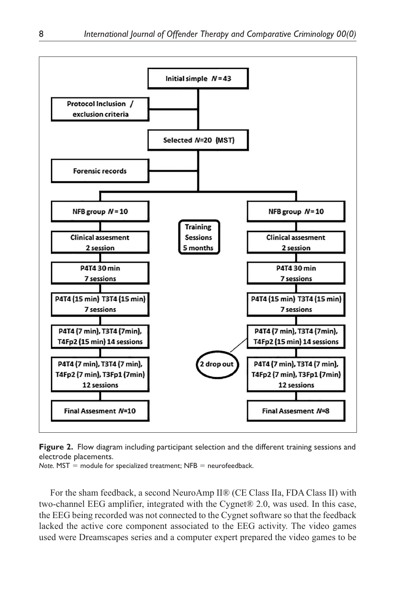

**Figure 2.** Flow diagram including participant selection and the different training sessions and electrode placements.

*Note.* MST = module for specialized treatment; NFB = neurofeedback.

For the sham feedback, a second NeuroAmp II® (CE Class IIa, FDA Class II) with two-channel EEG amplifier, integrated with the Cygnet® 2.0, was used. In this case, the EEG being recorded was not connected to the Cygnet software so that the feedback lacked the active core component associated to the EEG activity. The video games used were Dreamscapes series and a computer expert prepared the video games to be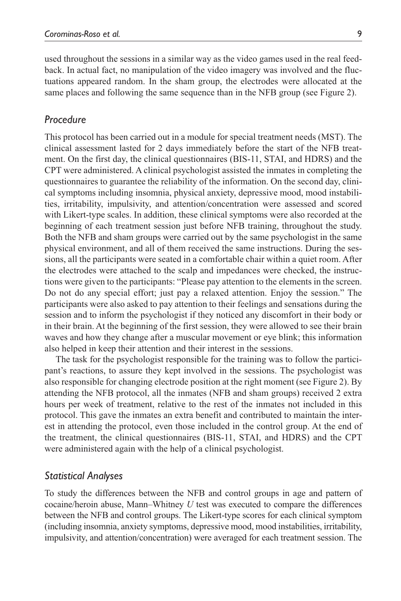used throughout the sessions in a similar way as the video games used in the real feedback. In actual fact, no manipulation of the video imagery was involved and the fluctuations appeared random. In the sham group, the electrodes were allocated at the same places and following the same sequence than in the NFB group (see Figure 2).

### *Procedure*

This protocol has been carried out in a module for special treatment needs (MST). The clinical assessment lasted for 2 days immediately before the start of the NFB treatment. On the first day, the clinical questionnaires (BIS-11, STAI, and HDRS) and the CPT were administered. A clinical psychologist assisted the inmates in completing the questionnaires to guarantee the reliability of the information. On the second day, clinical symptoms including insomnia, physical anxiety, depressive mood, mood instabilities, irritability, impulsivity, and attention/concentration were assessed and scored with Likert-type scales. In addition, these clinical symptoms were also recorded at the beginning of each treatment session just before NFB training, throughout the study. Both the NFB and sham groups were carried out by the same psychologist in the same physical environment, and all of them received the same instructions. During the sessions, all the participants were seated in a comfortable chair within a quiet room. After the electrodes were attached to the scalp and impedances were checked, the instructions were given to the participants: "Please pay attention to the elements in the screen. Do not do any special effort; just pay a relaxed attention. Enjoy the session." The participants were also asked to pay attention to their feelings and sensations during the session and to inform the psychologist if they noticed any discomfort in their body or in their brain. At the beginning of the first session, they were allowed to see their brain waves and how they change after a muscular movement or eye blink; this information also helped in keep their attention and their interest in the sessions.

The task for the psychologist responsible for the training was to follow the participant's reactions, to assure they kept involved in the sessions. The psychologist was also responsible for changing electrode position at the right moment (see Figure 2). By attending the NFB protocol, all the inmates (NFB and sham groups) received 2 extra hours per week of treatment, relative to the rest of the inmates not included in this protocol. This gave the inmates an extra benefit and contributed to maintain the interest in attending the protocol, even those included in the control group. At the end of the treatment, the clinical questionnaires (BIS-11, STAI, and HDRS) and the CPT were administered again with the help of a clinical psychologist.

### *Statistical Analyses*

To study the differences between the NFB and control groups in age and pattern of cocaine/heroin abuse, Mann–Whitney *U* test was executed to compare the differences between the NFB and control groups. The Likert-type scores for each clinical symptom (including insomnia, anxiety symptoms, depressive mood, mood instabilities, irritability, impulsivity, and attention/concentration) were averaged for each treatment session. The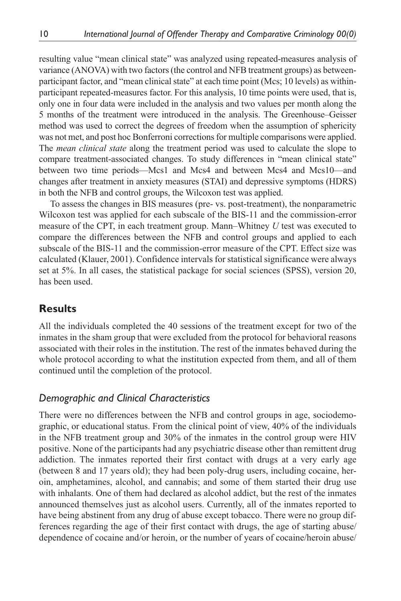resulting value "mean clinical state" was analyzed using repeated-measures analysis of variance (ANOVA) with two factors (the control and NFB treatment groups) as betweenparticipant factor, and "mean clinical state" at each time point (Mcs; 10 levels) as withinparticipant repeated-measures factor. For this analysis, 10 time points were used, that is, only one in four data were included in the analysis and two values per month along the 5 months of the treatment were introduced in the analysis. The Greenhouse–Geisser method was used to correct the degrees of freedom when the assumption of sphericity was not met, and post hoc Bonferroni corrections for multiple comparisons were applied. The *mean clinical state* along the treatment period was used to calculate the slope to compare treatment-associated changes. To study differences in "mean clinical state" between two time periods—Mcs1 and Mcs4 and between Mcs4 and Mcs10—and changes after treatment in anxiety measures (STAI) and depressive symptoms (HDRS) in both the NFB and control groups, the Wilcoxon test was applied.

To assess the changes in BIS measures (pre- vs. post-treatment), the nonparametric Wilcoxon test was applied for each subscale of the BIS-11 and the commission-error measure of the CPT, in each treatment group. Mann–Whitney *U* test was executed to compare the differences between the NFB and control groups and applied to each subscale of the BIS-11 and the commission-error measure of the CPT. Effect size was calculated (Klauer, 2001). Confidence intervals for statistical significance were always set at 5%. In all cases, the statistical package for social sciences (SPSS), version 20, has been used.

# **Results**

All the individuals completed the 40 sessions of the treatment except for two of the inmates in the sham group that were excluded from the protocol for behavioral reasons associated with their roles in the institution. The rest of the inmates behaved during the whole protocol according to what the institution expected from them, and all of them continued until the completion of the protocol.

# *Demographic and Clinical Characteristics*

There were no differences between the NFB and control groups in age, sociodemographic, or educational status. From the clinical point of view, 40% of the individuals in the NFB treatment group and 30% of the inmates in the control group were HIV positive. None of the participants had any psychiatric disease other than remittent drug addiction. The inmates reported their first contact with drugs at a very early age (between 8 and 17 years old); they had been poly-drug users, including cocaine, heroin, amphetamines, alcohol, and cannabis; and some of them started their drug use with inhalants. One of them had declared as alcohol addict, but the rest of the inmates announced themselves just as alcohol users. Currently, all of the inmates reported to have being abstinent from any drug of abuse except tobacco. There were no group differences regarding the age of their first contact with drugs, the age of starting abuse/ dependence of cocaine and/or heroin, or the number of years of cocaine/heroin abuse/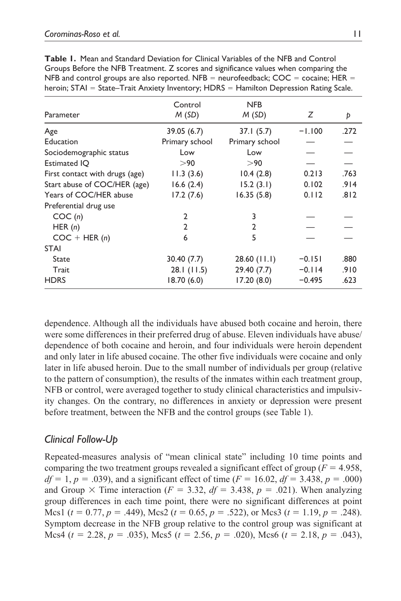| Parameter                      | Control<br>M(SD) | <b>NFB</b><br>M(SD) | Ζ        | Þ    |
|--------------------------------|------------------|---------------------|----------|------|
| Age                            | 39.05 (6.7)      | 37.1(5.7)           | $-1.100$ | .272 |
| Education                      | Primary school   | Primary school      |          |      |
| Sociodemographic status        | Low              | Low                 |          |      |
| <b>Estimated IQ</b>            | > 90             | > 90                |          |      |
| First contact with drugs (age) | 11.3(3.6)        | 10.4(2.8)           | 0.213    | .763 |
| Start abuse of COC/HER (age)   | 16.6(2.4)        | 15.2(3.1)           | 0.102    | .914 |
| Years of COC/HER abuse         | 17.2(7.6)        | 16.35(5.8)          | 0.112    | .812 |
| Preferential drug use          |                  |                     |          |      |
| COC(n)                         | 2                | 3                   |          |      |
| HER $(n)$                      | $\mathfrak{p}$   | $\overline{2}$      |          |      |
| $COC + HER(n)$                 | 6                | 5                   |          |      |
| <b>STAI</b>                    |                  |                     |          |      |
| State                          | 30.40(7.7)       | $28.60$ (11.1)      | $-0.151$ | .880 |
| Trait                          | 28.1(11.5)       | 29.40(7.7)          | $-0.114$ | .910 |
| <b>HDRS</b>                    | 18.70 (6.0)      | 17.20(8.0)          | $-0.495$ | .623 |

**Table 1.** Mean and Standard Deviation for Clinical Variables of the NFB and Control Groups Before the NFB Treatment. Z scores and significance values when comparing the NFB and control groups are also reported. NFB = neurofeedback;  $COC = cocaine$ ; HER = heroin; STAI = State–Trait Anxiety Inventory; HDRS = Hamilton Depression Rating Scale.

dependence. Although all the individuals have abused both cocaine and heroin, there were some differences in their preferred drug of abuse. Eleven individuals have abuse/ dependence of both cocaine and heroin, and four individuals were heroin dependent and only later in life abused cocaine. The other five individuals were cocaine and only later in life abused heroin. Due to the small number of individuals per group (relative to the pattern of consumption), the results of the inmates within each treatment group, NFB or control, were averaged together to study clinical characteristics and impulsivity changes. On the contrary, no differences in anxiety or depression were present before treatment, between the NFB and the control groups (see Table 1).

# *Clinical Follow-Up*

Repeated-measures analysis of "mean clinical state" including 10 time points and comparing the two treatment groups revealed a significant effect of group ( $F = 4.958$ ,  $df = 1, p = .039$ , and a significant effect of time  $(F = 16.02, df = 3.438, p = .000)$ and Group  $\times$  Time interaction ( $F = 3.32$ ,  $df = 3.438$ ,  $p = .021$ ). When analyzing group differences in each time point, there were no significant differences at point Mcs1 ( $t = 0.77$ ,  $p = .449$ ), Mcs2 ( $t = 0.65$ ,  $p = .522$ ), or Mcs3 ( $t = 1.19$ ,  $p = .248$ ). Symptom decrease in the NFB group relative to the control group was significant at Mcs4 (*t* = 2.28, *p* = .035), Mcs5 (*t* = 2.56, *p* = .020), Mcs6 (*t* = 2.18, *p* = .043),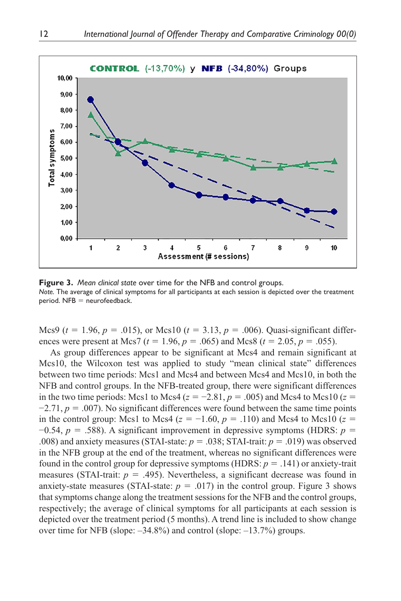

**Figure 3.** *Mean clinical state* over time for the NFB and control groups. *Note.* The average of clinical symptoms for all participants at each session is depicted over the treatment  $period.$  NFB  $=$  neurofeedback.

Mcs9 ( $t = 1.96$ ,  $p = .015$ ), or Mcs10 ( $t = 3.13$ ,  $p = .006$ ). Quasi-significant differences were present at Mcs7 ( $t = 1.96$ ,  $p = .065$ ) and Mcs8 ( $t = 2.05$ ,  $p = .055$ ).

As group differences appear to be significant at Mcs4 and remain significant at Mcs10, the Wilcoxon test was applied to study "mean clinical state" differences between two time periods: Mcs1 and Mcs4 and between Mcs4 and Mcs10, in both the NFB and control groups. In the NFB-treated group, there were significant differences in the two time periods: Mcs1 to Mcs4 ( $z = -2.81$ ,  $p = .005$ ) and Mcs4 to Mcs10 ( $z =$  $-2.71$ ,  $p = .007$ ). No significant differences were found between the same time points in the control group: Mcs1 to Mcs4 ( $z = -1.60$ ,  $p = .110$ ) and Mcs4 to Mcs10 ( $z =$ −0.54, *p* = .588). A significant improvement in depressive symptoms (HDRS: *p* = .008) and anxiety measures (STAI-state:  $p = .038$ ; STAI-trait:  $p = .019$ ) was observed in the NFB group at the end of the treatment, whereas no significant differences were found in the control group for depressive symptoms (HDRS:  $p = .141$ ) or anxiety-trait measures (STAI-trait:  $p = .495$ ). Nevertheless, a significant decrease was found in anxiety-state measures (STAI-state:  $p = .017$ ) in the control group. Figure 3 shows that symptoms change along the treatment sessions for the NFB and the control groups, respectively; the average of clinical symptoms for all participants at each session is depicted over the treatment period (5 months). A trend line is included to show change over time for NFB (slope: –34.8%) and control (slope: –13.7%) groups.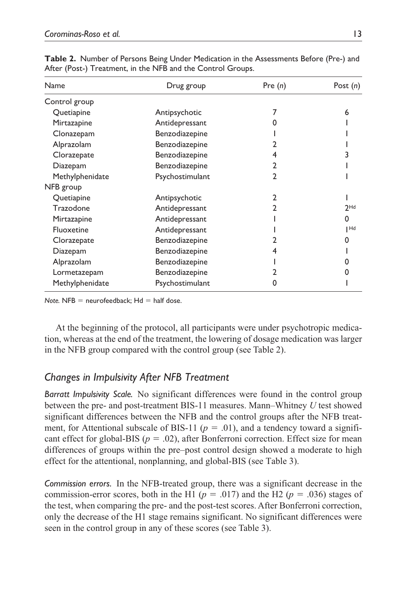| Name            | Drug group      | Pre $(n)$    | Post $(n)$ |
|-----------------|-----------------|--------------|------------|
| Control group   |                 |              |            |
| Quetiapine      | Antipsychotic   |              | 6          |
| Mirtazapine     | Antidepressant  |              |            |
| Clonazepam      | Benzodiazepine  |              |            |
| Alprazolam      | Benzodiazepine  |              |            |
| Clorazepate     | Benzodiazepine  | 4            |            |
| Diazepam        | Benzodiazepine  | $\mathbf{2}$ |            |
| Methylphenidate | Psychostimulant | 2            |            |
| NFB group       |                 |              |            |
| Quetiapine      | Antipsychotic   | 2            |            |
| Trazodone       | Antidepressant  | 2            | $2$ Hd     |
| Mirtazapine     | Antidepressant  |              | 0          |
| Fluoxetine      | Antidepressant  |              | Hd         |
| Clorazepate     | Benzodiazepine  | 2            |            |
| Diazepam        | Benzodiazepine  | 4            |            |
| Alprazolam      | Benzodiazepine  |              |            |
| Lormetazepam    | Benzodiazepine  | 2            |            |
| Methylphenidate | Psychostimulant | 0            |            |

**Table 2.** Number of Persons Being Under Medication in the Assessments Before (Pre-) and After (Post-) Treatment, in the NFB and the Control Groups.

 $Note.$  NFB  $=$  neurofeedback;  $Hd =$  half dose.

At the beginning of the protocol, all participants were under psychotropic medication, whereas at the end of the treatment, the lowering of dosage medication was larger in the NFB group compared with the control group (see Table 2).

## *Changes in Impulsivity After NFB Treatment*

*Barratt Impulsivity Scale.* No significant differences were found in the control group between the pre- and post-treatment BIS-11 measures. Mann–Whitney *U* test showed significant differences between the NFB and the control groups after the NFB treatment, for Attentional subscale of BIS-11 ( $p = .01$ ), and a tendency toward a significant effect for global-BIS ( $p = .02$ ), after Bonferroni correction. Effect size for mean differences of groups within the pre–post control design showed a moderate to high effect for the attentional, nonplanning, and global-BIS (see Table 3).

*Commission errors.* In the NFB-treated group, there was a significant decrease in the commission-error scores, both in the H1 ( $p = .017$ ) and the H2 ( $p = .036$ ) stages of the test, when comparing the pre- and the post-test scores. After Bonferroni correction, only the decrease of the H1 stage remains significant. No significant differences were seen in the control group in any of these scores (see Table 3).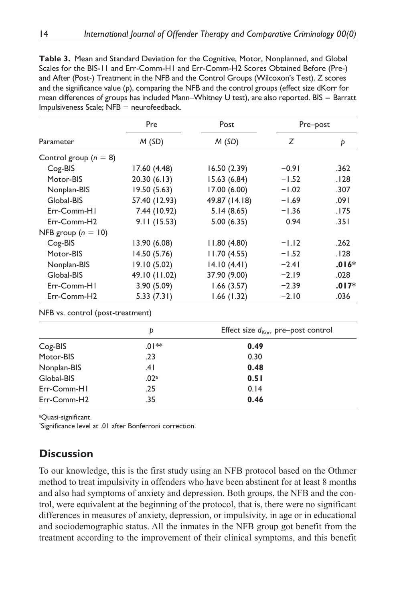| <b>Table 3.</b> Mean and Standard Deviation for the Cognitive, Motor, Nonplanned, and Global    |  |
|-------------------------------------------------------------------------------------------------|--|
| Scales for the BIS-11 and Err-Comm-H1 and Err-Comm-H2 Scores Obtained Before (Pre-)             |  |
| and After (Post-) Treatment in the NFB and the Control Groups (Wilcoxon's Test). Z scores       |  |
| and the significance value (p), comparing the NFB and the control groups (effect size dKorr for |  |
| mean differences of groups has included Mann-Whitney U test), are also reported. BIS = Barratt  |  |
| $Impulsiveness Scale; NFB = neurofeedback.$                                                     |  |

|                         | Pre           | Post          | Pre-post |         |
|-------------------------|---------------|---------------|----------|---------|
| Parameter               | M(SD)         | M(SD)         | Ζ        | Þ       |
| Control group $(n = 8)$ |               |               |          |         |
| Cog-BIS                 | 17.60 (4.48)  | 16.50(2.39)   | $-0.91$  | .362    |
| Motor-BIS               | 20.30(6.13)   | 15.63 (6.84)  | $-1.52$  | .128    |
| Nonplan-BIS             | 19.50(5.63)   | 17.00 (6.00)  | $-1.02$  | .307    |
| Global-BIS              | 57.40 (12.93) | 49.87 (14.18) | $-1.69$  | .091    |
| Err-Comm-HI             | 7.44 (10.92)  | 5.14(8.65)    | $-1.36$  | .175    |
| Err-Comm-H2             | 9.11(15.53)   | 5.00(6.35)    | 0.94     | .351    |
| NFB group $(n = 10)$    |               |               |          |         |
| Cog-BIS                 | 13.90(6.08)   | 11.80(4.80)   | $-1.12$  | .262    |
| Motor-BIS               | 14.50(5.76)   | 11.70(4.55)   | $-1.52$  | .128    |
| Nonplan-BIS             | 19.10(5.02)   | 14.10(4.41)   | $-2.41$  | $.016*$ |
| Global-BIS              | 49.10 (11.02) | 37.90 (9.00)  | $-2.19$  | .028    |
| Err-Comm-HI             | 3.90(5.09)    | 1.66(3.57)    | $-2.39$  | $.017*$ |
| Err-Comm-H2             | 5.33(7.31)    | 1.66(1.32)    | $-2.10$  | .036    |

|             | Þ                | Effect size $d_{\text{Korr}}$ pre-post control |
|-------------|------------------|------------------------------------------------|
| Cog-BIS     | $.01**$          | 0.49                                           |
| Motor-BIS   | .23              | 0.30                                           |
| Nonplan-BIS | .41              | 0.48                                           |
| Global-BIS  | .02 <sup>a</sup> | 0.51                                           |
| Err-Comm-HI | .25              | 0.14                                           |
| Err-Comm-H2 | .35              | 0.46                                           |

<sup>a</sup>Quasi-significant.

\* Significance level at .01 after Bonferroni correction.

# **Discussion**

To our knowledge, this is the first study using an NFB protocol based on the Othmer method to treat impulsivity in offenders who have been abstinent for at least 8 months and also had symptoms of anxiety and depression. Both groups, the NFB and the control, were equivalent at the beginning of the protocol, that is, there were no significant differences in measures of anxiety, depression, or impulsivity, in age or in educational and sociodemographic status. All the inmates in the NFB group got benefit from the treatment according to the improvement of their clinical symptoms, and this benefit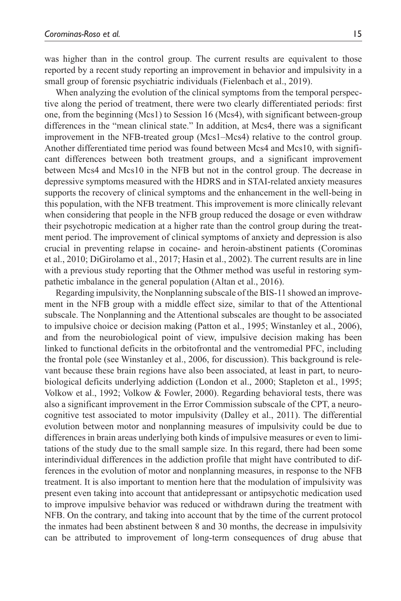was higher than in the control group. The current results are equivalent to those reported by a recent study reporting an improvement in behavior and impulsivity in a small group of forensic psychiatric individuals (Fielenbach et al., 2019).

When analyzing the evolution of the clinical symptoms from the temporal perspective along the period of treatment, there were two clearly differentiated periods: first one, from the beginning (Mcs1) to Session 16 (Mcs4), with significant between-group differences in the "mean clinical state." In addition, at Mcs4, there was a significant improvement in the NFB-treated group (Mcs1–Mcs4) relative to the control group. Another differentiated time period was found between Mcs4 and Mcs10, with significant differences between both treatment groups, and a significant improvement between Mcs4 and Mcs10 in the NFB but not in the control group. The decrease in depressive symptoms measured with the HDRS and in STAI-related anxiety measures supports the recovery of clinical symptoms and the enhancement in the well-being in this population, with the NFB treatment. This improvement is more clinically relevant when considering that people in the NFB group reduced the dosage or even withdraw their psychotropic medication at a higher rate than the control group during the treatment period. The improvement of clinical symptoms of anxiety and depression is also crucial in preventing relapse in cocaine- and heroin-abstinent patients (Corominas et al., 2010; DiGirolamo et al., 2017; Hasin et al., 2002). The current results are in line with a previous study reporting that the Othmer method was useful in restoring sympathetic imbalance in the general population (Altan et al., 2016).

Regarding impulsivity, the Nonplanning subscale of the BIS-11 showed an improvement in the NFB group with a middle effect size, similar to that of the Attentional subscale. The Nonplanning and the Attentional subscales are thought to be associated to impulsive choice or decision making (Patton et al., 1995; Winstanley et al., 2006), and from the neurobiological point of view, impulsive decision making has been linked to functional deficits in the orbitofrontal and the ventromedial PFC, including the frontal pole (see Winstanley et al., 2006, for discussion). This background is relevant because these brain regions have also been associated, at least in part, to neurobiological deficits underlying addiction (London et al., 2000; Stapleton et al., 1995; Volkow et al., 1992; Volkow & Fowler, 2000). Regarding behavioral tests, there was also a significant improvement in the Error Commission subscale of the CPT, a neurocognitive test associated to motor impulsivity (Dalley et al., 2011). The differential evolution between motor and nonplanning measures of impulsivity could be due to differences in brain areas underlying both kinds of impulsive measures or even to limitations of the study due to the small sample size. In this regard, there had been some interindividual differences in the addiction profile that might have contributed to differences in the evolution of motor and nonplanning measures, in response to the NFB treatment. It is also important to mention here that the modulation of impulsivity was present even taking into account that antidepressant or antipsychotic medication used to improve impulsive behavior was reduced or withdrawn during the treatment with NFB. On the contrary, and taking into account that by the time of the current protocol the inmates had been abstinent between 8 and 30 months, the decrease in impulsivity can be attributed to improvement of long-term consequences of drug abuse that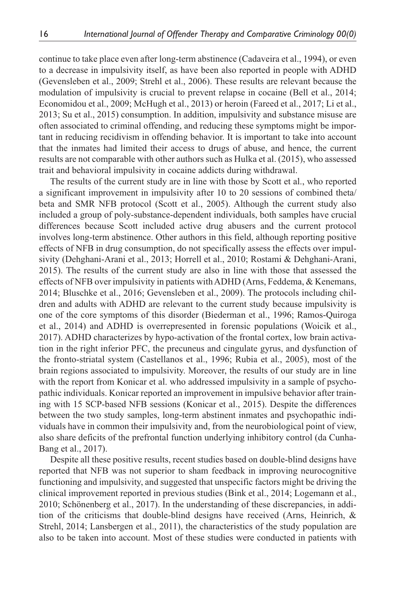continue to take place even after long-term abstinence (Cadaveira et al., 1994), or even to a decrease in impulsivity itself, as have been also reported in people with ADHD (Gevensleben et al., 2009; Strehl et al., 2006). These results are relevant because the modulation of impulsivity is crucial to prevent relapse in cocaine (Bell et al., 2014; Economidou et al., 2009; McHugh et al., 2013) or heroin (Fareed et al., 2017; Li et al., 2013; Su et al., 2015) consumption. In addition, impulsivity and substance misuse are often associated to criminal offending, and reducing these symptoms might be important in reducing recidivism in offending behavior. It is important to take into account that the inmates had limited their access to drugs of abuse, and hence, the current results are not comparable with other authors such as Hulka et al. (2015), who assessed trait and behavioral impulsivity in cocaine addicts during withdrawal.

The results of the current study are in line with those by Scott et al., who reported a significant improvement in impulsivity after 10 to 20 sessions of combined theta/ beta and SMR NFB protocol (Scott et al., 2005). Although the current study also included a group of poly-substance-dependent individuals, both samples have crucial differences because Scott included active drug abusers and the current protocol involves long-term abstinence. Other authors in this field, although reporting positive effects of NFB in drug consumption, do not specifically assess the effects over impulsivity (Dehghani-Arani et al., 2013; Horrell et al., 2010; Rostami & Dehghani-Arani, 2015). The results of the current study are also in line with those that assessed the effects of NFB over impulsivity in patients with ADHD (Arns, Feddema, & Kenemans, 2014; Bluschke et al., 2016; Gevensleben et al., 2009). The protocols including children and adults with ADHD are relevant to the current study because impulsivity is one of the core symptoms of this disorder (Biederman et al., 1996; Ramos-Quiroga et al., 2014) and ADHD is overrepresented in forensic populations (Woicik et al., 2017). ADHD characterizes by hypo-activation of the frontal cortex, low brain activation in the right inferior PFC, the precuneus and cingulate gyrus, and dysfunction of the fronto-striatal system (Castellanos et al., 1996; Rubia et al., 2005), most of the brain regions associated to impulsivity. Moreover, the results of our study are in line with the report from Konicar et al. who addressed impulsivity in a sample of psychopathic individuals. Konicar reported an improvement in impulsive behavior after training with 15 SCP-based NFB sessions (Konicar et al., 2015). Despite the differences between the two study samples, long-term abstinent inmates and psychopathic individuals have in common their impulsivity and, from the neurobiological point of view, also share deficits of the prefrontal function underlying inhibitory control (da Cunha-Bang et al., 2017).

Despite all these positive results, recent studies based on double-blind designs have reported that NFB was not superior to sham feedback in improving neurocognitive functioning and impulsivity, and suggested that unspecific factors might be driving the clinical improvement reported in previous studies (Bink et al., 2014; Logemann et al., 2010; Schönenberg et al., 2017). In the understanding of these discrepancies, in addition of the criticisms that double-blind designs have received (Arns, Heinrich, & Strehl, 2014; Lansbergen et al., 2011), the characteristics of the study population are also to be taken into account. Most of these studies were conducted in patients with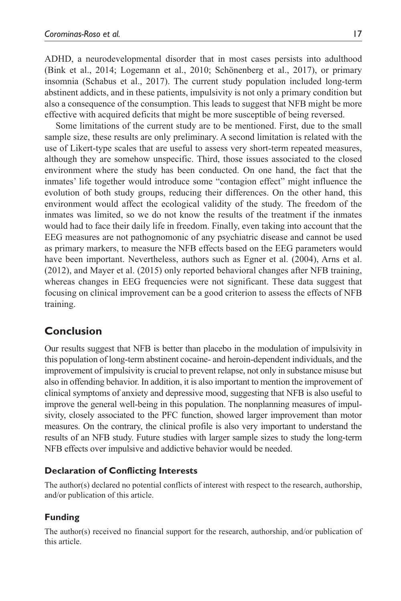ADHD, a neurodevelopmental disorder that in most cases persists into adulthood (Bink et al., 2014; Logemann et al., 2010; Schönenberg et al., 2017), or primary insomnia (Schabus et al., 2017). The current study population included long-term abstinent addicts, and in these patients, impulsivity is not only a primary condition but also a consequence of the consumption. This leads to suggest that NFB might be more effective with acquired deficits that might be more susceptible of being reversed.

Some limitations of the current study are to be mentioned. First, due to the small sample size, these results are only preliminary. A second limitation is related with the use of Likert-type scales that are useful to assess very short-term repeated measures, although they are somehow unspecific. Third, those issues associated to the closed environment where the study has been conducted. On one hand, the fact that the inmates' life together would introduce some "contagion effect" might influence the evolution of both study groups, reducing their differences. On the other hand, this environment would affect the ecological validity of the study. The freedom of the inmates was limited, so we do not know the results of the treatment if the inmates would had to face their daily life in freedom. Finally, even taking into account that the EEG measures are not pathognomonic of any psychiatric disease and cannot be used as primary markers, to measure the NFB effects based on the EEG parameters would have been important. Nevertheless, authors such as Egner et al. (2004), Arns et al. (2012), and Mayer et al. (2015) only reported behavioral changes after NFB training, whereas changes in EEG frequencies were not significant. These data suggest that focusing on clinical improvement can be a good criterion to assess the effects of NFB training.

# **Conclusion**

Our results suggest that NFB is better than placebo in the modulation of impulsivity in this population of long-term abstinent cocaine- and heroin-dependent individuals, and the improvement of impulsivity is crucial to prevent relapse, not only in substance misuse but also in offending behavior. In addition, it is also important to mention the improvement of clinical symptoms of anxiety and depressive mood, suggesting that NFB is also useful to improve the general well-being in this population. The nonplanning measures of impulsivity, closely associated to the PFC function, showed larger improvement than motor measures. On the contrary, the clinical profile is also very important to understand the results of an NFB study. Future studies with larger sample sizes to study the long-term NFB effects over impulsive and addictive behavior would be needed.

## **Declaration of Conflicting Interests**

The author(s) declared no potential conflicts of interest with respect to the research, authorship, and/or publication of this article.

## **Funding**

The author(s) received no financial support for the research, authorship, and/or publication of this article.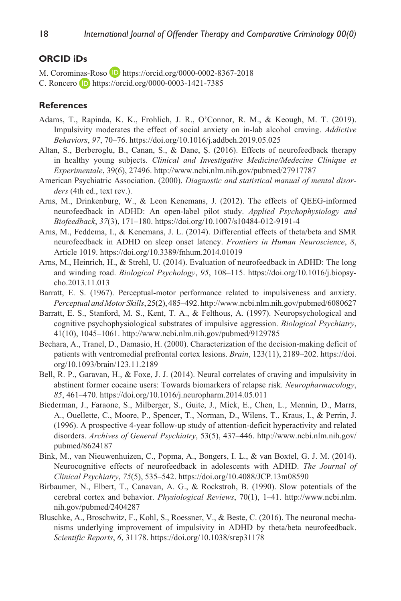#### **ORCID iDs**

M. Corominas-Roso **D** <https://orcid.org/0000-0002-8367-2018> C. Roncero **D** <https://orcid.org/0000-0003-1421-7385>

### **References**

- Adams, T., Rapinda, K. K., Frohlich, J. R., O'Connor, R. M., & Keough, M. T. (2019). Impulsivity moderates the effect of social anxiety on in-lab alcohol craving. *Addictive Behaviors*, *97*, 70–76.<https://doi.org/10.1016/j.addbeh.2019.05.025>
- Altan, S., Berberoglu, B., Canan, S., & Dane, Ş. (2016). Effects of neurofeedback therapy in healthy young subjects. *Clinical and Investigative Medicine/Medecine Clinique et Experimentale*, 39(6), 27496. <http://www.ncbi.nlm.nih.gov/pubmed/27917787>
- American Psychiatric Association. (2000). *Diagnostic and statistical manual of mental disorders* (4th ed., text rev.).
- Arns, M., Drinkenburg, W., & Leon Kenemans, J. (2012). The effects of QEEG-informed neurofeedback in ADHD: An open-label pilot study. *Applied Psychophysiology and Biofeedback*, *37*(3), 171–180. <https://doi.org/10.1007/s10484-012-9191-4>
- Arns, M., Feddema, I., & Kenemans, J. L. (2014). Differential effects of theta/beta and SMR neurofeedback in ADHD on sleep onset latency. *Frontiers in Human Neuroscience*, *8*, Article 1019. <https://doi.org/10.3389/fnhum.2014.01019>
- Arns, M., Heinrich, H., & Strehl, U. (2014). Evaluation of neurofeedback in ADHD: The long and winding road. *Biological Psychology*, *95*, 108–115. [https://doi.org/10.1016/j.biopsy](https://doi.org/10.1016/j.biopsycho.2013.11.013)[cho.2013.11.013](https://doi.org/10.1016/j.biopsycho.2013.11.013)
- Barratt, E. S. (1967). Perceptual-motor performance related to impulsiveness and anxiety. *Perceptual and Motor Skills*, 25(2), 485–492.<http://www.ncbi.nlm.nih.gov/pubmed/6080627>
- Barratt, E. S., Stanford, M. S., Kent, T. A., & Felthous, A. (1997). Neuropsychological and cognitive psychophysiological substrates of impulsive aggression. *Biological Psychiatry*, 41(10), 1045–1061.<http://www.ncbi.nlm.nih.gov/pubmed/9129785>
- Bechara, A., Tranel, D., Damasio, H. (2000). Characterization of the decision-making deficit of patients with ventromedial prefrontal cortex lesions. *Brain*, 123(11), 2189–202. [https://doi.](https://doi.org/10.1093/brain/123.11.2189) [org/10.1093/brain/123.11.2189](https://doi.org/10.1093/brain/123.11.2189)
- Bell, R. P., Garavan, H., & Foxe, J. J. (2014). Neural correlates of craving and impulsivity in abstinent former cocaine users: Towards biomarkers of relapse risk. *Neuropharmacology*, *85*, 461–470. <https://doi.org/10.1016/j.neuropharm.2014.05.011>
- Biederman, J., Faraone, S., Milberger, S., Guite, J., Mick, E., Chen, L., Mennin, D., Marrs, A., Ouellette, C., Moore, P., Spencer, T., Norman, D., Wilens, T., Kraus, I., & Perrin, J. (1996). A prospective 4-year follow-up study of attention-deficit hyperactivity and related disorders. *Archives of General Psychiatry*, 53(5), 437–446. [http://www.ncbi.nlm.nih.gov/](http://www.ncbi.nlm.nih.gov/pubmed/8624187) [pubmed/8624187](http://www.ncbi.nlm.nih.gov/pubmed/8624187)
- Bink, M., van Nieuwenhuizen, C., Popma, A., Bongers, I. L., & van Boxtel, G. J. M. (2014). Neurocognitive effects of neurofeedback in adolescents with ADHD. *The Journal of Clinical Psychiatry*, *75*(5), 535–542.<https://doi.org/10.4088/JCP.13m08590>
- Birbaumer, N., Elbert, T., Canavan, A. G., & Rockstroh, B. (1990). Slow potentials of the cerebral cortex and behavior. *Physiological Reviews*, 70(1), 1–41. [http://www.ncbi.nlm.](http://www.ncbi.nlm.nih.gov/pubmed/2404287) [nih.gov/pubmed/2404287](http://www.ncbi.nlm.nih.gov/pubmed/2404287)
- Bluschke, A., Broschwitz, F., Kohl, S., Roessner, V., & Beste, C. (2016). The neuronal mechanisms underlying improvement of impulsivity in ADHD by theta/beta neurofeedback. *Scientific Reports*, *6*, 31178.<https://doi.org/10.1038/srep31178>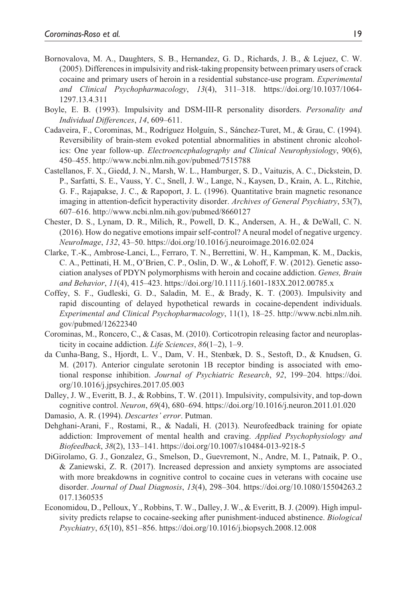- Bornovalova, M. A., Daughters, S. B., Hernandez, G. D., Richards, J. B., & Lejuez, C. W. (2005). Differences in impulsivity and risk-taking propensity between primary users of crack cocaine and primary users of heroin in a residential substance-use program. *Experimental and Clinical Psychopharmacology*, *13*(4), 311–318. [https://doi.org/10.1037/1064-](https://doi.org/10.1037/1064-1297.13.4.311) [1297.13.4.311](https://doi.org/10.1037/1064-1297.13.4.311)
- Boyle, E. B. (1993). Impulsivity and DSM-III-R personality disorders. *Personality and Individual Differences*, *14*, 609–611.
- Cadaveira, F., Corominas, M., Rodríguez Holguín, S., Sánchez-Turet, M., & Grau, C. (1994). Reversibility of brain-stem evoked potential abnormalities in abstinent chronic alcoholics: One year follow-up. *Electroencephalography and Clinical Neurophysiology*, 90(6), 450–455.<http://www.ncbi.nlm.nih.gov/pubmed/7515788>
- Castellanos, F. X., Giedd, J. N., Marsh, W. L., Hamburger, S. D., Vaituzis, A. C., Dickstein, D. P., Sarfatti, S. E., Vauss, Y. C., Snell, J. W., Lange, N., Kaysen, D., Krain, A. L., Ritchie, G. F., Rajapakse, J. C., & Rapoport, J. L. (1996). Quantitative brain magnetic resonance imaging in attention-deficit hyperactivity disorder. *Archives of General Psychiatry*, 53(7), 607–616.<http://www.ncbi.nlm.nih.gov/pubmed/8660127>
- Chester, D. S., Lynam, D. R., Milich, R., Powell, D. K., Andersen, A. H., & DeWall, C. N. (2016). How do negative emotions impair self-control? A neural model of negative urgency. *NeuroImage*, *132*, 43–50.<https://doi.org/10.1016/j.neuroimage.2016.02.024>
- Clarke, T.-K., Ambrose-Lanci, L., Ferraro, T. N., Berrettini, W. H., Kampman, K. M., Dackis, C. A., Pettinati, H. M., O'Brien, C. P., Oslin, D. W., & Lohoff, F. W. (2012). Genetic association analyses of PDYN polymorphisms with heroin and cocaine addiction. *Genes, Brain and Behavior*, *11*(4), 415–423.<https://doi.org/10.1111/j.1601-183X.2012.00785.x>
- Coffey, S. F., Gudleski, G. D., Saladin, M. E., & Brady, K. T. (2003). Impulsivity and rapid discounting of delayed hypothetical rewards in cocaine-dependent individuals. *Experimental and Clinical Psychopharmacology*, 11(1), 18–25. [http://www.ncbi.nlm.nih.](http://www.ncbi.nlm.nih.gov/pubmed/12622340) [gov/pubmed/12622340](http://www.ncbi.nlm.nih.gov/pubmed/12622340)
- Corominas, M., Roncero, C., & Casas, M. (2010). Corticotropin releasing factor and neuroplasticity in cocaine addiction. *Life Sciences*, *86*(1–2), 1–9.
- da Cunha-Bang, S., Hjordt, L. V., Dam, V. H., Stenbæk, D. S., Sestoft, D., & Knudsen, G. M. (2017). Anterior cingulate serotonin 1B receptor binding is associated with emotional response inhibition. *Journal of Psychiatric Research*, *92*, 199–204. [https://doi.](https://doi.org/10.1016/j.jpsychires.2017.05.003) [org/10.1016/j.jpsychires.2017.05.003](https://doi.org/10.1016/j.jpsychires.2017.05.003)
- Dalley, J. W., Everitt, B. J., & Robbins, T. W. (2011). Impulsivity, compulsivity, and top-down cognitive control. *Neuron*, *69*(4), 680–694.<https://doi.org/10.1016/j.neuron.2011.01.020>
- Damasio, A. R. (1994). *Descartes' error*. Putman.
- Dehghani-Arani, F., Rostami, R., & Nadali, H. (2013). Neurofeedback training for opiate addiction: Improvement of mental health and craving. *Applied Psychophysiology and Biofeedback*, *38*(2), 133–141. <https://doi.org/10.1007/s10484-013-9218-5>
- DiGirolamo, G. J., Gonzalez, G., Smelson, D., Guevremont, N., Andre, M. I., Patnaik, P. O., & Zaniewski, Z. R. (2017). Increased depression and anxiety symptoms are associated with more breakdowns in cognitive control to cocaine cues in veterans with cocaine use disorder. *Journal of Dual Diagnosis*, *13*(4), 298–304. [https://doi.org/10.1080/15504263.2](https://doi.org/10.1080/15504263.2017.1360535) [017.1360535](https://doi.org/10.1080/15504263.2017.1360535)
- Economidou, D., Pelloux, Y., Robbins, T. W., Dalley, J. W., & Everitt, B. J. (2009). High impulsivity predicts relapse to cocaine-seeking after punishment-induced abstinence. *Biological Psychiatry*, *65*(10), 851–856.<https://doi.org/10.1016/j.biopsych.2008.12.008>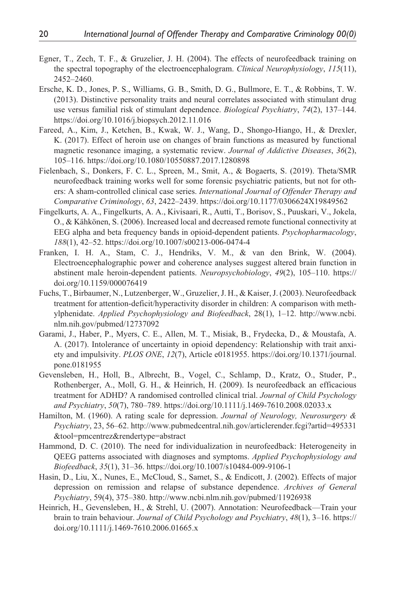- Egner, T., Zech, T. F., & Gruzelier, J. H. (2004). The effects of neurofeedback training on the spectral topography of the electroencephalogram. *Clinical Neurophysiology*, *115*(11), 2452–2460.
- Ersche, K. D., Jones, P. S., Williams, G. B., Smith, D. G., Bullmore, E. T., & Robbins, T. W. (2013). Distinctive personality traits and neural correlates associated with stimulant drug use versus familial risk of stimulant dependence. *Biological Psychiatry*, *74*(2), 137–144. <https://doi.org/10.1016/j.biopsych.2012.11.016>
- Fareed, A., Kim, J., Ketchen, B., Kwak, W. J., Wang, D., Shongo-Hiango, H., & Drexler, K. (2017). Effect of heroin use on changes of brain functions as measured by functional magnetic resonance imaging, a systematic review. *Journal of Addictive Diseases*, *36*(2), 105–116.<https://doi.org/10.1080/10550887.2017.1280898>
- Fielenbach, S., Donkers, F. C. L., Spreen, M., Smit, A., & Bogaerts, S. (2019). Theta/SMR neurofeedback training works well for some forensic psychiatric patients, but not for others: A sham-controlled clinical case series. *International Journal of Offender Therapy and Comparative Criminology*, *63*, 2422–2439. <https://doi.org/10.1177/0306624X19849562>
- Fingelkurts, A. A., Fingelkurts, A. A., Kivisaari, R., Autti, T., Borisov, S., Puuskari, V., Jokela, O., & Kähkönen, S. (2006). Increased local and decreased remote functional connectivity at EEG alpha and beta frequency bands in opioid-dependent patients. *Psychopharmacology*, *188*(1), 42–52.<https://doi.org/10.1007/s00213-006-0474-4>
- Franken, I. H. A., Stam, C. J., Hendriks, V. M., & van den Brink, W. (2004). Electroencephalographic power and coherence analyses suggest altered brain function in abstinent male heroin-dependent patients. *Neuropsychobiology*, *49*(2), 105–110. [https://](https://doi.org/10.1159/000076419) [doi.org/10.1159/000076419](https://doi.org/10.1159/000076419)
- Fuchs, T., Birbaumer, N., Lutzenberger, W., Gruzelier, J. H., & Kaiser, J. (2003). Neurofeedback treatment for attention-deficit/hyperactivity disorder in children: A comparison with methylphenidate. *Applied Psychophysiology and Biofeedback*, 28(1), 1–12. [http://www.ncbi.](http://www.ncbi.nlm.nih.gov/pubmed/12737092) [nlm.nih.gov/pubmed/12737092](http://www.ncbi.nlm.nih.gov/pubmed/12737092)
- Garami, J., Haber, P., Myers, C. E., Allen, M. T., Misiak, B., Frydecka, D., & Moustafa, A. A. (2017). Intolerance of uncertainty in opioid dependency: Relationship with trait anxiety and impulsivity. *PLOS ONE*, *12*(7), Article e0181955. [https://doi.org/10.1371/journal.](https://doi.org/10.1371/journal.pone.0181955) [pone.0181955](https://doi.org/10.1371/journal.pone.0181955)
- Gevensleben, H., Holl, B., Albrecht, B., Vogel, C., Schlamp, D., Kratz, O., Studer, P., Rothenberger, A., Moll, G. H., & Heinrich, H. (2009). Is neurofeedback an efficacious treatment for ADHD? A randomised controlled clinical trial. *Journal of Child Psychology and Psychiatry*, *50*(7), 780–789. <https://doi.org/10.1111/j.1469-7610.2008.02033.x>
- Hamilton, M. (1960). A rating scale for depression. *Journal of Neurology, Neurosurgery & Psychiatry*, 23, 56–62. [http://www.pubmedcentral.nih.gov/articlerender.fcgi?artid=495331](http://www.pubmedcentral.nih.gov/articlerender.fcgi?artid=495331&tool=pmcentrez&rendertype=abstract) [&tool=pmcentrez&rendertype=abstract](http://www.pubmedcentral.nih.gov/articlerender.fcgi?artid=495331&tool=pmcentrez&rendertype=abstract)
- Hammond, D. C. (2010). The need for individualization in neurofeedback: Heterogeneity in QEEG patterns associated with diagnoses and symptoms. *Applied Psychophysiology and Biofeedback*, *35*(1), 31–36. <https://doi.org/10.1007/s10484-009-9106-1>
- Hasin, D., Liu, X., Nunes, E., McCloud, S., Samet, S., & Endicott, J. (2002). Effects of major depression on remission and relapse of substance dependence. *Archives of General Psychiatry*, 59(4), 375–380. <http://www.ncbi.nlm.nih.gov/pubmed/11926938>
- Heinrich, H., Gevensleben, H., & Strehl, U. (2007). Annotation: Neurofeedback—Train your brain to train behaviour. *Journal of Child Psychology and Psychiatry*, *48*(1), 3–16. [https://](https://doi.org/10.1111/j.1469-7610.2006.01665.x) [doi.org/10.1111/j.1469-7610.2006.01665.x](https://doi.org/10.1111/j.1469-7610.2006.01665.x)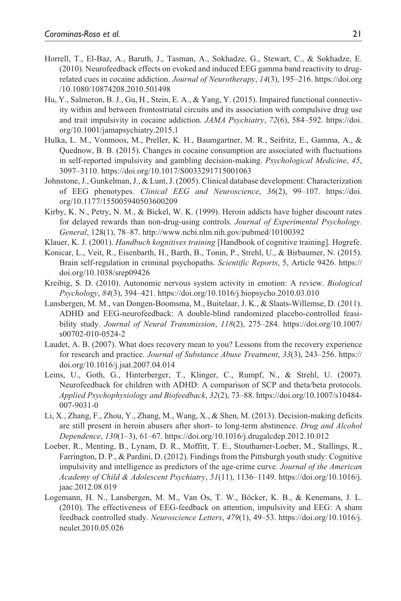- Horrell, T., El-Baz, A., Baruth, J., Tasman, A., Sokhadze, G., Stewart, C., & Sokhadze, E. (2010). Neurofeedback effects on evoked and induced EEG gamma band reactivity to drugrelated cues in cocaine addiction. *Journal of Neurotherapy*, *14*(3), 195–216. [https://doi.org](https://doi.org/10.1080/10874208.2010.501498) [/10.1080/10874208.2010.501498](https://doi.org/10.1080/10874208.2010.501498)
- Hu, Y., Salmeron, B. J., Gu, H., Stein, E. A., & Yang, Y. (2015). Impaired functional connectivity within and between frontostriatal circuits and its association with compulsive drug use and trait impulsivity in cocaine addiction. *JAMA Psychiatry*, *72*(6), 584–592. [https://doi.](https://doi.org/10.1001/jamapsychiatry.2015.1) [org/10.1001/jamapsychiatry.2015.1](https://doi.org/10.1001/jamapsychiatry.2015.1)
- Hulka, L. M., Vonmoos, M., Preller, K. H., Baumgartner, M. R., Seifritz, E., Gamma, A., & Quednow, B. B. (2015). Changes in cocaine consumption are associated with fluctuations in self-reported impulsivity and gambling decision-making. *Psychological Medicine*, *45*, 3097–3110.<https://doi.org/10.1017/S0033291715001063>
- Johnstone, J., Gunkelman, J., & Lunt, J. (2005). Clinical database development: Characterization of EEG phenotypes. *Clinical EEG and Neuroscience*, *36*(2), 99–107. [https://doi.](https://doi.org/10.1177/155005940503600209) [org/10.1177/155005940503600209](https://doi.org/10.1177/155005940503600209)
- Kirby, K. N., Petry, N. M., & Bickel, W. K. (1999). Heroin addicts have higher discount rates for delayed rewards than non-drug-using controls. *Journal of Experimental Psychology. General*, 128(1), 78–87.<http://www.ncbi.nlm.nih.gov/pubmed/10100392>
- Klauer, K. J. (2001). *Handbuch kognitives training* [Handbook of cognitive training]. Hogrefe.
- Konicar, L., Veit, R., Eisenbarth, H., Barth, B., Tonin, P., Strehl, U., & Birbaumer, N. (2015). Brain self-regulation in criminal psychopaths. *Scientific Reports*, 5, Article 9426. [https://](https://doi.org/10.1038/srep09426) [doi.org/10.1038/srep09426](https://doi.org/10.1038/srep09426)
- Kreibig, S. D. (2010). Autonomic nervous system activity in emotion: A review. *Biological Psychology*, *84*(3), 394–421. <https://doi.org/10.1016/j.biopsycho.2010.03.010>
- Lansbergen, M. M., van Dongen-Boomsma, M., Buitelaar, J. K., & Slaats-Willemse, D. (2011). ADHD and EEG-neurofeedback: A double-blind randomized placebo-controlled feasibility study. *Journal of Neural Transmission*, *118*(2), 275–284. [https://doi.org/10.1007/](https://doi.org/10.1007/s00702-010-0524-2) [s00702-010-0524-2](https://doi.org/10.1007/s00702-010-0524-2)
- Laudet, A. B. (2007). What does recovery mean to you? Lessons from the recovery experience for research and practice. *Journal of Substance Abuse Treatment*, *33*(3), 243–256. [https://](https://doi.org/10.1016/j.jsat.2007.04.014) [doi.org/10.1016/j.jsat.2007.04.014](https://doi.org/10.1016/j.jsat.2007.04.014)
- Leins, U., Goth, G., Hinterberger, T., Klinger, C., Rumpf, N., & Strehl, U. (2007). Neurofeedback for children with ADHD: A comparison of SCP and theta/beta protocols. *Applied Psychophysiology and Biofeedback*, *32*(2), 73–88. [https://doi.org/10.1007/s10484-](https://doi.org/10.1007/s10484-007-9031-0) [007-9031-0](https://doi.org/10.1007/s10484-007-9031-0)
- Li, X., Zhang, F., Zhou, Y., Zhang, M., Wang, X., & Shen, M. (2013). Decision-making deficits are still present in heroin abusers after short- to long-term abstinence. *Drug and Alcohol Dependence*, *130*(1–3), 61–67.<https://doi.org/10.1016/j.drugalcdep.2012.10.012>
- Loeber, R., Menting, B., Lynam, D. R., Moffitt, T. E., Stouthamer-Loeber, M., Stallings, R., Farrington, D. P., & Pardini, D. (2012). Findings from the Pittsburgh youth study: Cognitive impulsivity and intelligence as predictors of the age-crime curve. *Journal of the American Academy of Child & Adolescent Psychiatry*, *51*(11), 1136–1149. [https://doi.org/10.1016/j.](https://doi.org/10.1016/j.jaac.2012.08.019) [jaac.2012.08.019](https://doi.org/10.1016/j.jaac.2012.08.019)
- Logemann, H. N., Lansbergen, M. M., Van Os, T. W., Böcker, K. B., & Kenemans, J. L. (2010). The effectiveness of EEG-feedback on attention, impulsivity and EEG: A sham feedback controlled study. *Neuroscience Letters*, *479*(1), 49–53. [https://doi.org/10.1016/j.](https://doi.org/10.1016/j.neulet.2010.05.026) [neulet.2010.05.026](https://doi.org/10.1016/j.neulet.2010.05.026)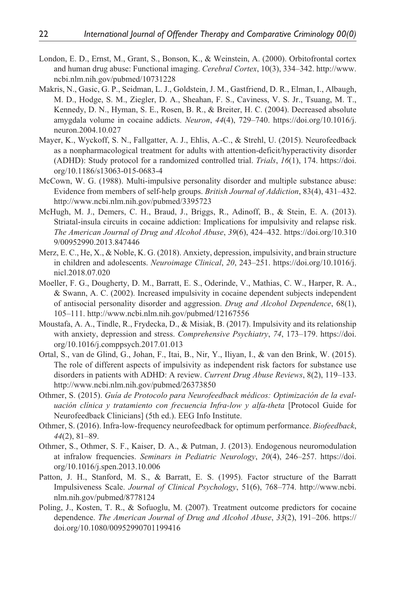- London, E. D., Ernst, M., Grant, S., Bonson, K., & Weinstein, A. (2000). Orbitofrontal cortex and human drug abuse: Functional imaging. *Cerebral Cortex*, 10(3), 334–342. [http://www.](http://www.ncbi.nlm.nih.gov/pubmed/10731228) [ncbi.nlm.nih.gov/pubmed/10731228](http://www.ncbi.nlm.nih.gov/pubmed/10731228)
- Makris, N., Gasic, G. P., Seidman, L. J., Goldstein, J. M., Gastfriend, D. R., Elman, I., Albaugh, M. D., Hodge, S. M., Ziegler, D. A., Sheahan, F. S., Caviness, V. S. Jr., Tsuang, M. T., Kennedy, D. N., Hyman, S. E., Rosen, B. R., & Breiter, H. C. (2004). Decreased absolute amygdala volume in cocaine addicts. *Neuron*, *44*(4), 729–740. [https://doi.org/10.1016/j.](https://doi.org/10.1016/j.neuron.2004.10.027) [neuron.2004.10.027](https://doi.org/10.1016/j.neuron.2004.10.027)
- Mayer, K., Wyckoff, S. N., Fallgatter, A. J., Ehlis, A.-C., & Strehl, U. (2015). Neurofeedback as a nonpharmacological treatment for adults with attention-deficit/hyperactivity disorder (ADHD): Study protocol for a randomized controlled trial. *Trials*, *16*(1), 174. [https://doi.](https://doi.org/10.1186/s13063-015-0683-4) [org/10.1186/s13063-015-0683-4](https://doi.org/10.1186/s13063-015-0683-4)
- McCown, W. G. (1988). Multi-impulsive personality disorder and multiple substance abuse: Evidence from members of self-help groups. *British Journal of Addiction*, 83(4), 431–432. <http://www.ncbi.nlm.nih.gov/pubmed/3395723>
- McHugh, M. J., Demers, C. H., Braud, J., Briggs, R., Adinoff, B., & Stein, E. A. (2013). Striatal-insula circuits in cocaine addiction: Implications for impulsivity and relapse risk. *The American Journal of Drug and Alcohol Abuse*, *39*(6), 424–432. [https://doi.org/10.310](https://doi.org/10.3109/00952990.2013.847446) [9/00952990.2013.847446](https://doi.org/10.3109/00952990.2013.847446)
- Merz, E. C., He, X., & Noble, K. G. (2018). Anxiety, depression, impulsivity, and brain structure in children and adolescents. *Neuroimage Clinical*, *20*, 243–251. https://doi.org/10.1016/j. nicl.2018.07.020
- Moeller, F. G., Dougherty, D. M., Barratt, E. S., Oderinde, V., Mathias, C. W., Harper, R. A., & Swann, A. C. (2002). Increased impulsivity in cocaine dependent subjects independent of antisocial personality disorder and aggression. *Drug and Alcohol Dependence*, 68(1), 105–111.<http://www.ncbi.nlm.nih.gov/pubmed/12167556>
- Moustafa, A. A., Tindle, R., Frydecka, D., & Misiak, B. (2017). Impulsivity and its relationship with anxiety, depression and stress. *Comprehensive Psychiatry*, *74*, 173–179. [https://doi.](https://doi.org/10.1016/j.comppsych.2017.01.013) [org/10.1016/j.comppsych.2017.01.013](https://doi.org/10.1016/j.comppsych.2017.01.013)
- Ortal, S., van de Glind, G., Johan, F., Itai, B., Nir, Y., Iliyan, I., & van den Brink, W. (2015). The role of different aspects of impulsivity as independent risk factors for substance use disorders in patients with ADHD: A review. *Current Drug Abuse Reviews*, 8(2), 119–133. <http://www.ncbi.nlm.nih.gov/pubmed/26373850>
- Othmer, S. (2015). *Guía de Protocolo para Neurofeedback médicos: Optimización de la evaluación clínica y tratamiento con frecuencia Infra-low y alfa-theta* [Protocol Guide for Neurofeedback Clinicians] (5th ed.). EEG Info Institute.
- Othmer, S. (2016). Infra-low-frequency neurofeedback for optimum performance. *Biofeedback*, *44*(2), 81–89.
- Othmer, S., Othmer, S. F., Kaiser, D. A., & Putman, J. (2013). Endogenous neuromodulation at infralow frequencies. *Seminars in Pediatric Neurology*, *20*(4), 246–257. [https://doi.](https://doi.org/10.1016/j.spen.2013.10.006) [org/10.1016/j.spen.2013.10.006](https://doi.org/10.1016/j.spen.2013.10.006)
- Patton, J. H., Stanford, M. S., & Barratt, E. S. (1995). Factor structure of the Barratt Impulsiveness Scale. *Journal of Clinical Psychology*, 51(6), 768–774. [http://www.ncbi.](http://www.ncbi.nlm.nih.gov/pubmed/8778124) [nlm.nih.gov/pubmed/8778124](http://www.ncbi.nlm.nih.gov/pubmed/8778124)
- Poling, J., Kosten, T. R., & Sofuoglu, M. (2007). Treatment outcome predictors for cocaine dependence. *The American Journal of Drug and Alcohol Abuse*, *33*(2), 191–206. [https://](https://doi.org/10.1080/00952990701199416) [doi.org/10.1080/00952990701199416](https://doi.org/10.1080/00952990701199416)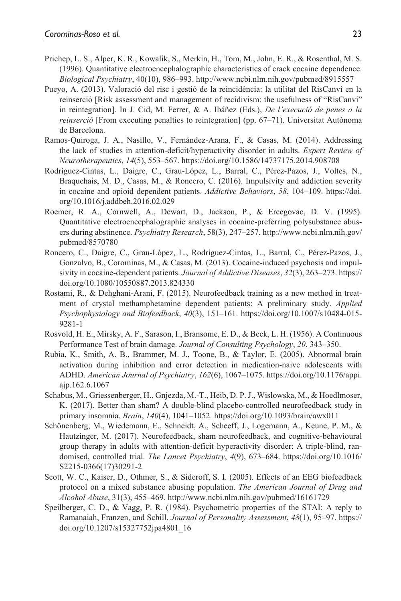- Prichep, L. S., Alper, K. R., Kowalik, S., Merkin, H., Tom, M., John, E. R., & Rosenthal, M. S. (1996). Quantitative electroencephalographic characteristics of crack cocaine dependence. *Biological Psychiatry*, 40(10), 986–993.<http://www.ncbi.nlm.nih.gov/pubmed/8915557>
- Pueyo, A. (2013). Valoració del risc i gestió de la reincidència: la utilitat del RisCanvi en la reinserció [Risk assessment and management of recidivism: the usefulness of "RisCanvi" in reintegration]. In J. Cid, M. Ferrer, & A. Ibáñez (Eds.), *De l'execució de penes a la reinserció* [From executing penalties to reintegration] (pp. 67–71). Universitat Autònoma de Barcelona.
- Ramos-Quiroga, J. A., Nasillo, V., Fernández-Arana, F., & Casas, M. (2014). Addressing the lack of studies in attention-deficit/hyperactivity disorder in adults. *Expert Review of Neurotherapeutics*, *14*(5), 553–567.<https://doi.org/10.1586/14737175.2014.908708>
- Rodríguez-Cintas, L., Daigre, C., Grau-López, L., Barral, C., Pérez-Pazos, J., Voltes, N., Braquehais, M. D., Casas, M., & Roncero, C. (2016). Impulsivity and addiction severity in cocaine and opioid dependent patients. *Addictive Behaviors*, *58*, 104–109. [https://doi.](https://doi.org/10.1016/j.addbeh.2016.02.029) [org/10.1016/j.addbeh.2016.02.029](https://doi.org/10.1016/j.addbeh.2016.02.029)
- Roemer, R. A., Cornwell, A., Dewart, D., Jackson, P., & Ercegovac, D. V. (1995). Quantitative electroencephalographic analyses in cocaine-preferring polysubstance abusers during abstinence. *Psychiatry Research*, 58(3), 247–257. [http://www.ncbi.nlm.nih.gov/](http://www.ncbi.nlm.nih.gov/pubmed/8570780) [pubmed/8570780](http://www.ncbi.nlm.nih.gov/pubmed/8570780)
- Roncero, C., Daigre, C., Grau-López, L., Rodríguez-Cintas, L., Barral, C., Pérez-Pazos, J., Gonzalvo, B., Corominas, M., & Casas, M. (2013). Cocaine-induced psychosis and impulsivity in cocaine-dependent patients. *Journal of Addictive Diseases*, *32*(3), 263–273. [https://](https://doi.org/10.1080/10550887.2013.824330) [doi.org/10.1080/10550887.2013.824330](https://doi.org/10.1080/10550887.2013.824330)
- Rostami, R., & Dehghani-Arani, F. (2015). Neurofeedback training as a new method in treatment of crystal methamphetamine dependent patients: A preliminary study. *Applied Psychophysiology and Biofeedback*, *40*(3), 151–161. [https://doi.org/10.1007/s10484-015-](https://doi.org/10.1007/s10484-015-9281-1) [9281-1](https://doi.org/10.1007/s10484-015-9281-1)
- Rosvold, H. E., Mirsky, A. F., Sarason, I., Bransome, E. D., & Beck, L. H. (1956). A Continuous Performance Test of brain damage. *Journal of Consulting Psychology*, *20*, 343–350.
- Rubia, K., Smith, A. B., Brammer, M. J., Toone, B., & Taylor, E. (2005). Abnormal brain activation during inhibition and error detection in medication-naive adolescents with ADHD. *American Journal of Psychiatry*, *162*(6), 1067–1075. [https://doi.org/10.1176/appi.](https://doi.org/10.1176/appi.ajp.162.6.1067) [ajp.162.6.1067](https://doi.org/10.1176/appi.ajp.162.6.1067)
- Schabus, M., Griessenberger, H., Gnjezda, M.-T., Heib, D. P. J., Wislowska, M., & Hoedlmoser, K. (2017). Better than sham? A double-blind placebo-controlled neurofeedback study in primary insomnia. *Brain*, *140*(4), 1041–1052. <https://doi.org/10.1093/brain/awx011>
- Schönenberg, M., Wiedemann, E., Schneidt, A., Scheeff, J., Logemann, A., Keune, P. M., & Hautzinger, M. (2017). Neurofeedback, sham neurofeedback, and cognitive-behavioural group therapy in adults with attention-deficit hyperactivity disorder: A triple-blind, randomised, controlled trial. *The Lancet Psychiatry*, *4*(9), 673–684. [https://doi.org/10.1016/](https://doi.org/10.1016/S2215-0366(17)30291-2) [S2215-0366\(17\)30291-2](https://doi.org/10.1016/S2215-0366(17)30291-2)
- Scott, W. C., Kaiser, D., Othmer, S., & Sideroff, S. I. (2005). Effects of an EEG biofeedback protocol on a mixed substance abusing population. *The American Journal of Drug and Alcohol Abuse*, 31(3), 455–469. <http://www.ncbi.nlm.nih.gov/pubmed/16161729>
- Speilberger, C. D., & Vagg, P. R. (1984). Psychometric properties of the STAI: A reply to Ramanaiah, Franzen, and Schill. *Journal of Personality Assessment*, *48*(1), 95–97. [https://](https://doi.org/10.1207/s15327752jpa4801_16) [doi.org/10.1207/s15327752jpa4801\\_16](https://doi.org/10.1207/s15327752jpa4801_16)